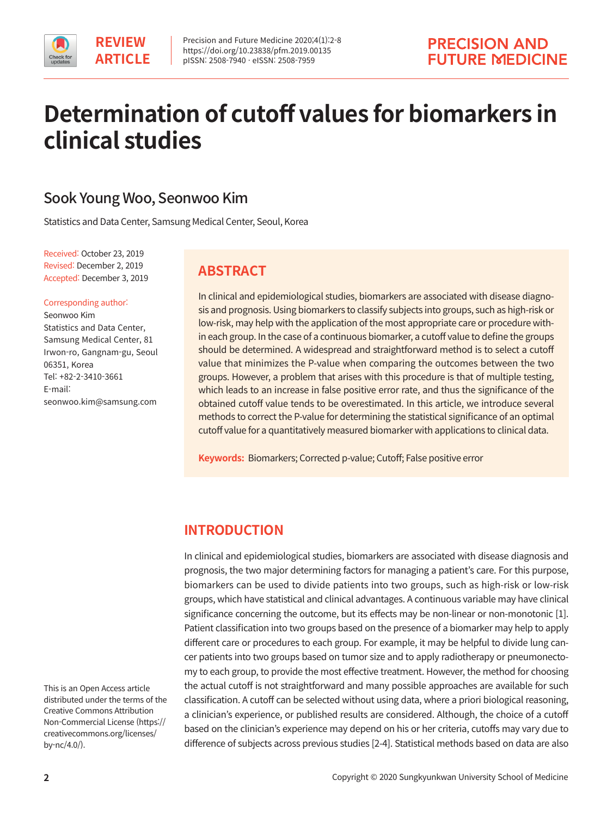

# **Determination of cutoff values for biomarkers in clinical studies**

# Sook Young Woo, Seonwoo Kim

Statistics and Data Center, Samsung Medical Center, Seoul, Korea

Received: October 23, 2019 Revised: December 2, 2019 Accepted: December 3, 2019

### Corresponding author:

Seonwoo Kim Statistics and Data Center, Samsung Medical Center, 81 Irwon-ro, Gangnam-gu, Seoul 06351, Korea Tel: +82-2-3410-3661 E-mail: seonwoo.kim@samsung.com

### **ABSTRACT**

In clinical and epidemiological studies, biomarkers are associated with disease diagnosis and prognosis. Using biomarkers to classify subjects into groups, such as high-risk or low-risk, may help with the application of the most appropriate care or procedure within each group. In the case of a continuous biomarker, a cutoff value to define the groups should be determined. A widespread and straightforward method is to select a cutoff value that minimizes the P-value when comparing the outcomes between the two groups. However, a problem that arises with this procedure is that of multiple testing, which leads to an increase in false positive error rate, and thus the significance of the obtained cutoff value tends to be overestimated. In this article, we introduce several methods to correct the P-value for determining the statistical significance of an optimal cutoff value for a quantitatively measured biomarker with applications to clinical data.

**Keywords:** Biomarkers; Corrected p-value; Cutoff; False positive error

# **INTRODUCTION**

In clinical and epidemiological studies, biomarkers are associated with disease diagnosis and prognosis, the two major determining factors for managing a patient's care. For this purpose, biomarkers can be used to divide patients into two groups, such as high-risk or low-risk groups, which have statistical and clinical advantages. A continuous variable may have clinical significance concerning the outcome, but its effects may be non-linear or non-monotonic [1]. Patient classification into two groups based on the presence of a biomarker may help to apply different care or procedures to each group. For example, it may be helpful to divide lung cancer patients into two groups based on tumor size and to apply radiotherapy or pneumonectomy to each group, to provide the most effective treatment. However, the method for choosing the actual cutoff is not straightforward and many possible approaches are available for such classification. A cutoff can be selected without using data, where a priori biological reasoning, a clinician's experience, or published results are considered. Although, the choice of a cutoff based on the clinician's experience may depend on his or her criteria, cutoffs may vary due to difference of subjects across previous studies [2-4]. Statistical methods based on data are also

This is an Open Access article distributed under the terms of the Creative Commons Attribution Non-Commercial License (https:// creativecommons.org/licenses/ by-nc/4.0/).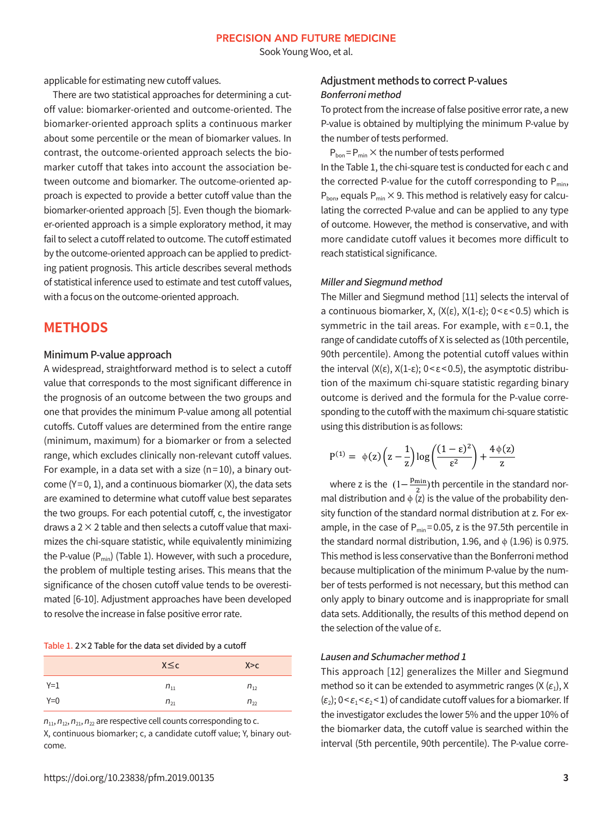Sook Young Woo, et al.

applicable for estimating new cutoff values.

There are two statistical approaches for determining a cutoff value: biomarker-oriented and outcome-oriented. The biomarker-oriented approach splits a continuous marker about some percentile or the mean of biomarker values. In contrast, the outcome-oriented approach selects the biomarker cutoff that takes into account the association between outcome and biomarker. The outcome-oriented approach is expected to provide a better cutoff value than the biomarker-oriented approach [5]. Even though the biomarker-oriented approach is a simple exploratory method, it may fail to select a cutoff related to outcome. The cutoff estimated by the outcome-oriented approach can be applied to predicting patient prognosis. This article describes several methods of statistical inference used to estimate and test cutoff values, with a focus on the outcome-oriented approach.

### **METHODS**

### Minimum P-value approach

A widespread, straightforward method is to select a cutoff value that corresponds to the most significant difference in the prognosis of an outcome between the two groups and one that provides the minimum P-value among all potential cutoffs. Cutoff values are determined from the entire range (minimum, maximum) for a biomarker or from a selected range, which excludes clinically non-relevant cutoff values. For example, in a data set with a size ( $n=10$ ), a binary outcome  $(Y=0, 1)$ , and a continuous biomarker  $(X)$ , the data sets are examined to determine what cutoff value best separates the two groups. For each potential cutoff, c, the investigator draws a  $2 \times 2$  table and then selects a cutoff value that maximizes the chi-square statistic, while equivalently minimizing the P-value  $(P_{min})$  (Table 1). However, with such a procedure, the problem of multiple testing arises. This means that the significance of the chosen cutoff value tends to be overestimated [6-10]. Adjustment approaches have been developed to resolve the increase in false positive error rate.

| Table 1. $2 \times 2$ Table for the data set divided by a cutoff |  |
|------------------------------------------------------------------|--|
|------------------------------------------------------------------|--|

|       | $X \leq c$ | X > c    |
|-------|------------|----------|
| $Y=1$ | $n_{11}$   | $n_{12}$ |
| $Y=0$ | $n_{21}$   | $n_{22}$ |

 $n_{11}$ ,  $n_{12}$ ,  $n_{21}$ ,  $n_{22}$  are respective cell counts corresponding to c. X, continuous biomarker; c, a candidate cutoff value; Y, binary outcome.

### Adjustment methods to correct P-values Bonferroni method

To protect from the increase of false positive error rate, a new P-value is obtained by multiplying the minimum P-value by the number of tests performed.

 $P_{\text{hon}} = P_{\text{min}} \times$  the number of tests performed In the Table 1, the chi-square test is conducted for each c and the corrected P-value for the cutoff corresponding to  $P_{min}$ ,  $P_{\text{bon}}$ , equals  $P_{\text{min}} \times 9$ . This method is relatively easy for calculating the corrected P-value and can be applied to any type of outcome. However, the method is conservative, and with more candidate cutoff values it becomes more difficult to reach statistical significance.

#### Miller and Siegmund method

The Miller and Siegmund method [11] selects the interval of a continuous biomarker, X,  $(X(\epsilon), X(1-\epsilon); 0 < \epsilon < 0.5)$  which is symmetric in the tail areas. For example, with  $\varepsilon$ =0.1, the range of candidate cutoffs of X is selected as (10th percentile, 90th percentile). Among the potential cutoff values within the interval  $(X(\epsilon), X(1-\epsilon); 0 < \epsilon < 0.5)$ , the asymptotic distribution of the maximum chi-square statistic regarding binary outcome is derived and the formula for the P-value corresponding to the cutoff with the maximum chi-square statistic using this distribution is as follows:

$$
P^{(1)} = \varphi(z) \left(z - \frac{1}{z}\right) \log \left( \frac{(1-\epsilon)^2}{\epsilon^2}\right) + \frac{4 \, \varphi(z)}{z}
$$

where z is the  $(1-\frac{p_{\min}}{2})$ th percentile in the standard normal distribution and  $\phi$  (z) is the value of the probability density function of the standard normal distribution at z. For example, in the case of  $P_{min} = 0.05$ , z is the 97.5th percentile in the standard normal distribution, 1.96, and  $\phi$  (1.96) is 0.975. This method is less conservative than the Bonferroni method because multiplication of the minimum P-value by the number of tests performed is not necessary, but this method can only apply to binary outcome and is inappropriate for small data sets. Additionally, the results of this method depend on the selection of the value of  $\varepsilon$ .

### Lausen and Schumacher method 1

This approach [12] generalizes the Miller and Siegmund method so it can be extended to asymmetric ranges  $(X (\varepsilon_1), X)$  $(\varepsilon_2)$ ; 0 <  $\varepsilon_1$  <  $\varepsilon_2$  < 1) of candidate cutoff values for a biomarker. If the investigator excludes the lower 5% and the upper 10% of the biomarker data, the cutoff value is searched within the interval (5th percentile, 90th percentile). The P-value corre-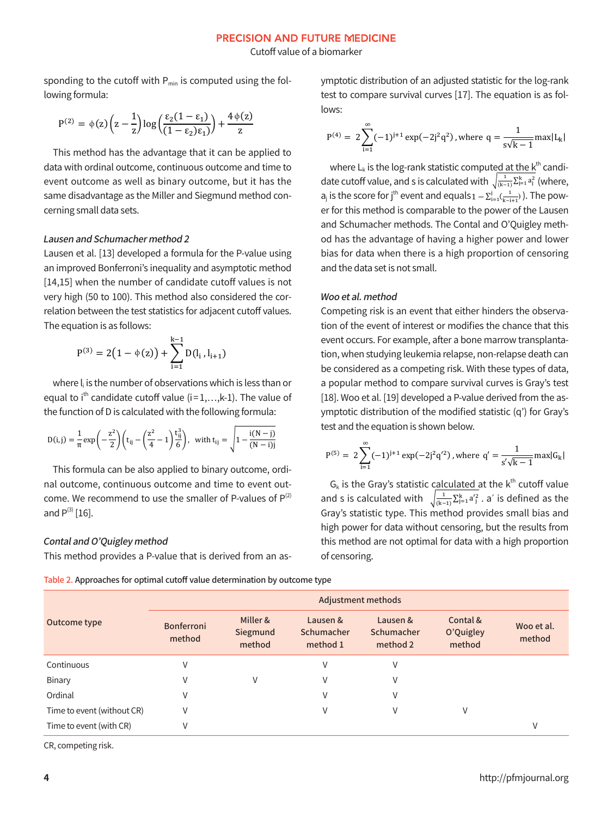#### **PRECISION AND FUTURE MEDICINE**

Cutoff value of a biomarker

sponding to the cutoff with  $P_{min}$  is computed using the following formula:

$$
P^{(2)}=\varphi(z)\bigg(z-\frac{1}{z}\bigg)\text{log}\bigg(\frac{\epsilon_2(1-\epsilon_1)}{(1-\epsilon_2)\epsilon_1)}\bigg)+\frac{4\,\varphi(z)}{z}
$$

This method has the advantage that it can be applied to data with ordinal outcome, continuous outcome and time to event outcome as well as binary outcome, but it has the same disadvantage as the Miller and Siegmund method concerning small data sets.

### Lausen and Schumacher method 2

Lausen et al. [13] developed a formula for the P-value using an improved Bonferroni's inequality and asymptotic method [14,15] when the number of candidate cutoff values is not very high (50 to 100). This method also considered the correlation between the test statistics for adjacent cutoff values. The equation is as follows:

$$
P^{(3)} = 2(1 - \phi(z)) + \sum_{i=1}^{k-1} D(l_i, l_{i+1})
$$

where I<sub>i</sub> is the number of observations which is less than or equal to  $i^{th}$  candidate cutoff value ( $i=1,...,k-1$ ). The value of the function of D is calculated with the following formula:

$$
D(i,j) = \frac{1}{\pi} \exp\left(-\frac{z^2}{2}\right) \left(t_{ij} - \left(\frac{z^2}{4} - 1\right) \frac{t_{ij}^3}{6}\right), \text{ with } t_{ij} = \sqrt{1 - \frac{i(N - j)}{(N - i)j}}
$$

This formula can be also applied to binary outcome, ordinal outcome, continuous outcome and time to event outcome. We recommend to use the smaller of P-values of  $P^{(2)}$ and  $P^{(3)}$  [16].

### Contal and O'Quigley method

This method provides a P-value that is derived from an as-

ymptotic distribution of an adjusted statistic for the log-rank test to compare survival curves [17]. The equation is as follows:

$$
P^{(4)} = 2 \sum_{i=1}^{\infty} (-1)^{i+1} \exp(-2i^2 q^2)
$$
, where  $q = \frac{1}{s\sqrt{k-1}} \max |L_k|$ 

where  $L_k$  is the log-rank statistic computed at the  $k^{th}$  candidate cutoff value, and s is calculated with  $\sqrt{\frac{1}{(k-1)}\sum_{j=1}^{k} a_j^2}$  (where,  $a_i$  is the score for j<sup>th</sup> event and equals  $1 - \sum_{i=1}^{i}(\frac{1}{k-i+1})$ . The power for this method is comparable to the power of the Lausen and Schumacher methods. The Contal and O'Quigley method has the advantage of having a higher power and lower bias for data when there is a high proportion of censoring and the data set is not small.

#### Woo et al. method

Competing risk is an event that either hinders the observation of the event of interest or modifies the chance that this event occurs. For example, after a bone marrow transplantation, when studying leukemia relapse, non-relapse death can be considered as a competing risk. With these types of data, a popular method to compare survival curves is Gray's test [18]. Woo et al. [19] developed a P-value derived from the asymptotic distribution of the modified statistic (q') for Gray's test and the equation is shown below.

$$
P^{(5)} = 2 \sum_{i=1}^{\infty} (-1)^{i+1} \exp(-2j^2 q'^2), \text{ where } q' = \frac{1}{s'\sqrt{k-1}} \max |G_k|
$$

 $G_k$  is the Gray's statistic calculated at the  $k^{\text{th}}$  cutoff value and s is calculated with  $\sqrt{\frac{1}{(k-1)}\sum_{j=1}^{k} a'^2}$ , a' is defined as the Gray's statistic type. This method provides small bias and high power for data without censoring, but the results from this method are not optimal for data with a high proportion of censoring.

Table 2. Approaches for optimal cutoff value determination by outcome type

|                            | <b>Adjustment methods</b> |                                |                                    |                                    |                                 |                      |  |
|----------------------------|---------------------------|--------------------------------|------------------------------------|------------------------------------|---------------------------------|----------------------|--|
| Outcome type               | Bonferroni<br>method      | Miller &<br>Siegmund<br>method | Lausen &<br>Schumacher<br>method 1 | Lausen &<br>Schumacher<br>method 2 | Contal &<br>O'Quigley<br>method | Woo et al.<br>method |  |
| Continuous                 | V                         |                                | V                                  | V                                  |                                 |                      |  |
| Binary                     | V                         | V                              | V                                  | V                                  |                                 |                      |  |
| Ordinal                    | V                         |                                | V                                  | V                                  |                                 |                      |  |
| Time to event (without CR) | V                         |                                | V                                  | V                                  | V                               |                      |  |
| Time to event (with CR)    | V                         |                                |                                    |                                    |                                 | V                    |  |

CR, competing risk.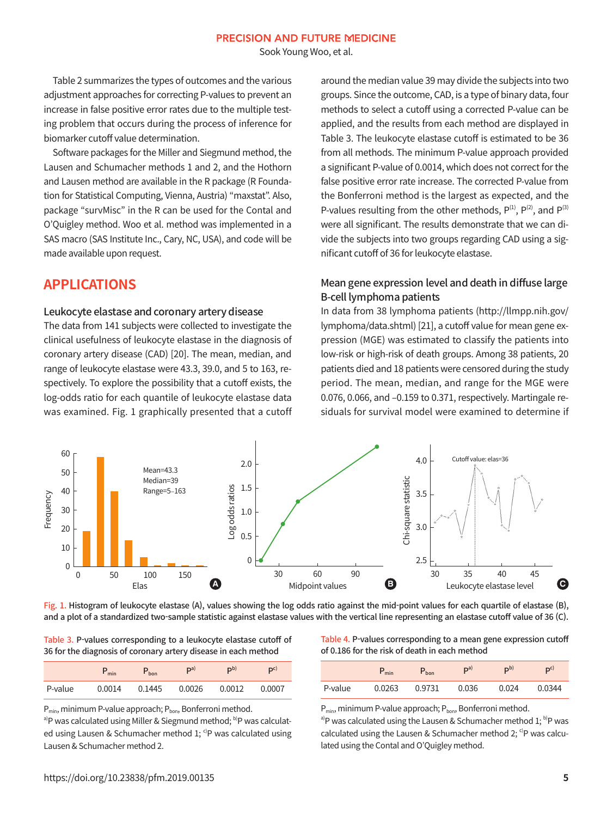Sook Young Woo, et al.

 Table 2 summarizes the types of outcomes and the various adjustment approaches for correcting P-values to prevent an increase in false positive error rates due to the multiple testing problem that occurs during the process of inference for biomarker cutoff value determination.

Software packages for the Miller and Siegmund method, the Lausen and Schumacher methods 1 and 2, and the Hothorn and Lausen method are available in the R package (R Foundation for Statistical Computing, Vienna, Austria) "maxstat". Also, package "survMisc" in the R can be used for the Contal and O'Quigley method. Woo et al. method was implemented in a SAS macro (SAS Institute Inc., Cary, NC, USA), and code will be made available upon request.

### **APPLICATIONS**

### Leukocyte elastase and coronary artery disease

The data from 141 subjects were collected to investigate the clinical usefulness of leukocyte elastase in the diagnosis of coronary artery disease (CAD) [20]. The mean, median, and range of leukocyte elastase were 43.3, 39.0, and 5 to 163, respectively. To explore the possibility that a cutoff exists, the log-odds ratio for each quantile of leukocyte elastase data was examined. Fig. 1 graphically presented that a cutoff around the median value 39 may divide the subjects into two groups. Since the outcome, CAD, is a type of binary data, four methods to select a cutoff using a corrected P-value can be applied, and the results from each method are displayed in Table 3. The leukocyte elastase cutoff is estimated to be 36 from all methods. The minimum P-value approach provided a significant P-value of 0.0014, which does not correct for the false positive error rate increase. The corrected P-value from the Bonferroni method is the largest as expected, and the P-values resulting from the other methods,  $P^{(1)}$ ,  $P^{(2)}$ , and  $P^{(3)}$ were all significant. The results demonstrate that we can divide the subjects into two groups regarding CAD using a significant cutoff of 36 for leukocyte elastase.

### Mean gene expression level and death in diffuse large B-cell lymphoma patients

In data from 38 lymphoma patients (http://llmpp.nih.gov/ lymphoma/data.shtml) [21], a cutoff value for mean gene expression (MGE) was estimated to classify the patients into low-risk or high-risk of death groups. Among 38 patients, 20 patients died and 18 patients were censored during the study period. The mean, median, and range for the MGE were 0.076, 0.066, and –0.159 to 0.371, respectively. Martingale residuals for survival model were examined to determine if



Fig. 1. Histogram of leukocyte elastase (A), values showing the log odds ratio against the mid-point values for each quartile of elastase (B), and a plot of a standardized two-sample statistic against elastase values with the vertical line representing an elastase cutoff value of 36 (C).

Table 3. P-values corresponding to a leukocyte elastase cutoff of 36 for the diagnosis of coronary artery disease in each method

|         | $P_{min}$ | $P_{\text{bon}}$ | $\mathbf{p}^{\text{a}}$ | $\mathbf{D}^{\mathrm{b}}$ | D <sub>C</sub> |
|---------|-----------|------------------|-------------------------|---------------------------|----------------|
| P-value | 0.0014    |                  | 0.1445   0.0026         | 0.0012                    | 0.0007         |

 $P_{min}$ , minimum P-value approach;  $P_{bon}$ , Bonferroni method.

a)P was calculated using Miller & Siegmund method; b)P was calculated using Lausen & Schumacher method 1; <sup>c)</sup>P was calculated using Lausen & Schumacher method 2.

Table 4. P-values corresponding to a mean gene expression cutoff of 0.186 for the risk of death in each method

|         | $P_{min}$ | $P_{\text{bon}}$ | D <sub>a</sub> | D <sub>p</sub> | D <sup>c</sup> |
|---------|-----------|------------------|----------------|----------------|----------------|
| P-value | 0.0263    | 0.9731           | 0.036          | 0.024          | 0.0344         |

 $P_{min}$ , minimum P-value approach;  $P_{bon}$ , Bonferroni method.

<sup>a)</sup>P was calculated using the Lausen & Schumacher method  $1$ ; <sup>b)</sup>P was calculated using the Lausen & Schumacher method 2;  $c$ P was calculated using the Contal and O'Quigley method.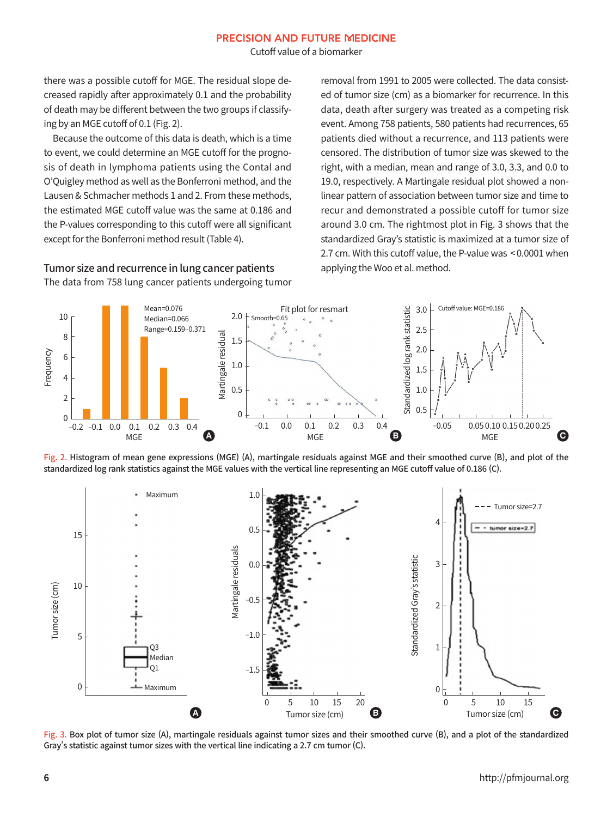#### **PRECISION AND FUTURE MEDICINE**

Cutoff value of a biomarker

there was a possible cutoff for MGE. The residual slope decreased rapidly after approximately 0.1 and the probability of death may be different between the two groups if classifying by an MGE cutoff of 0.1 (Fig. 2).

 Because the outcome of this data is death, which is a time to event, we could determine an MGE cutoff for the prognosis of death in lymphoma patients using the Contal and O'Quigley method as well as the Bonferroni method, and the Lausen & Schmacher methods 1 and 2. From these methods, the estimated MGE cutoff value was the same at 0.186 and the P-values corresponding to this cutoff were all significant except for the Bonferroni method result (Table 4).

# Tumor size and recurrence in lung cancer patients

The data from 758 lung cancer patients undergoing tumor

removal from 1991 to 2005 were collected. The data consisted of tumor size (cm) as a biomarker for recurrence. In this data, death after surgery was treated as a competing risk event. Among 758 patients, 580 patients had recurrences, 65 patients died without a recurrence, and 113 patients were censored. The distribution of tumor size was skewed to the right, with a median, mean and range of 3.0, 3.3, and 0.0 to 19.0, respectively. A Martingale residual plot showed a nonlinear pattern of association between tumor size and time to recur and demonstrated a possible cutoff for tumor size around 3.0 cm. The rightmost plot in Fig. 3 shows that the standardized Gray's statistic is maximized at a tumor size of 2.7 cm. With this cutoff value, the P-value was < 0.0001 when applying the Woo et al. method.



Fig. 2. Histogram of mean gene expressions (MGE) (A), martingale residuals against MGE and their smoothed curve (B), and plot of the standardized log rank statistics against the MGE values with the vertical line representing an MGE cutoff value of 0.186 (C).



Fig. 3. Box plot of tumor size (A), martingale residuals against tumor sizes and their smoothed curve (B), and a plot of the standardized Gray's statistic against tumor sizes with the vertical line indicating a 2.7 cm tumor (C).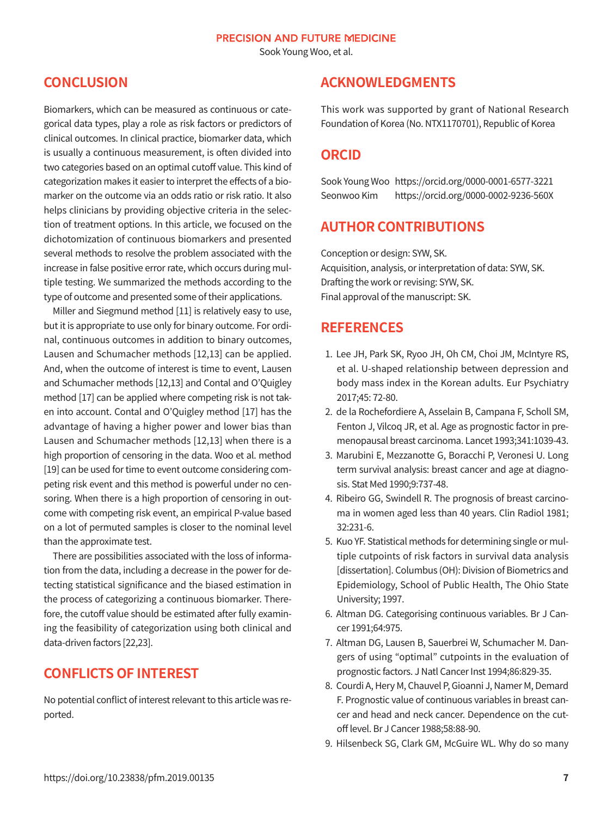Sook Young Woo, et al.

# **CONCLUSION**

Biomarkers, which can be measured as continuous or categorical data types, play a role as risk factors or predictors of clinical outcomes. In clinical practice, biomarker data, which is usually a continuous measurement, is often divided into two categories based on an optimal cutoff value. This kind of categorization makes it easier to interpret the effects of a biomarker on the outcome via an odds ratio or risk ratio. It also helps clinicians by providing objective criteria in the selection of treatment options. In this article, we focused on the dichotomization of continuous biomarkers and presented several methods to resolve the problem associated with the increase in false positive error rate, which occurs during multiple testing. We summarized the methods according to the type of outcome and presented some of their applications.

Miller and Siegmund method [11] is relatively easy to use, but it is appropriate to use only for binary outcome. For ordinal, continuous outcomes in addition to binary outcomes, Lausen and Schumacher methods [12,13] can be applied. And, when the outcome of interest is time to event, Lausen and Schumacher methods [12,13] and Contal and O'Quigley method [17] can be applied where competing risk is not taken into account. Contal and O'Quigley method [17] has the advantage of having a higher power and lower bias than Lausen and Schumacher methods [12,13] when there is a high proportion of censoring in the data. Woo et al. method [19] can be used for time to event outcome considering competing risk event and this method is powerful under no censoring. When there is a high proportion of censoring in outcome with competing risk event, an empirical P-value based on a lot of permuted samples is closer to the nominal level than the approximate test.

 There are possibilities associated with the loss of information from the data, including a decrease in the power for detecting statistical significance and the biased estimation in the process of categorizing a continuous biomarker. Therefore, the cutoff value should be estimated after fully examining the feasibility of categorization using both clinical and data-driven factors [22,23].

# **CONFLICTS OF INTEREST**

No potential conflict of interest relevant to this article was reported.

### **ACKNOWLEDGMENTS**

This work was supported by grant of National Research Foundation of Korea (No. NTX1170701), Republic of Korea

## **ORCID**

Sook Young Woo https://orcid.org/0000-0001-6577-3221 Seonwoo Kim https://orcid.org/0000-0002-9236-560X

# **AUTHOR CONTRIBUTIONS**

Conception or design: SYW, SK. Acquisition, analysis, or interpretation of data: SYW, SK. Drafting the work or revising: SYW, SK. Final approval of the manuscript: SK.

# **REFERENCES**

- 1. Lee JH, Park SK, Ryoo JH, Oh CM, Choi JM, McIntyre RS, et al. U-shaped relationship between depression and body mass index in the Korean adults. Eur Psychiatry 2017;45: 72-80.
- 2. de la Rochefordiere A, Asselain B, Campana F, Scholl SM, Fenton J, Vilcoq JR, et al. Age as prognostic factor in premenopausal breast carcinoma. Lancet 1993;341:1039-43.
- 3. Marubini E, Mezzanotte G, Boracchi P, Veronesi U. Long term survival analysis: breast cancer and age at diagnosis. Stat Med 1990;9:737-48.
- 4. Ribeiro GG, Swindell R. The prognosis of breast carcinoma in women aged less than 40 years. Clin Radiol 1981; 32:231-6.
- 5. Kuo YF. Statistical methods for determining single or multiple cutpoints of risk factors in survival data analysis [dissertation]. Columbus (OH): Division of Biometrics and Epidemiology, School of Public Health, The Ohio State University; 1997.
- 6. Altman DG. Categorising continuous variables. Br J Cancer 1991;64:975.
- 7. Altman DG, Lausen B, Sauerbrei W, Schumacher M. Dangers of using "optimal" cutpoints in the evaluation of prognostic factors. J Natl Cancer Inst 1994;86:829-35.
- 8. Courdi A, Hery M, Chauvel P, Gioanni J, Namer M, Demard F. Prognostic value of continuous variables in breast cancer and head and neck cancer. Dependence on the cutoff level. Br J Cancer 1988;58:88-90.
- 9. Hilsenbeck SG, Clark GM, McGuire WL. Why do so many